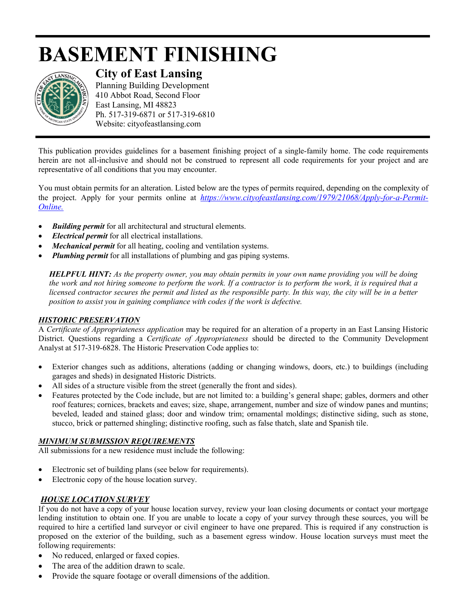# **BASEMENT FINISHING**



## **City of East Lansing**

Planning Building Development 410 Abbot Road, Second Floor East Lansing, MI 48823 Ph. 517-319-6871 or 517-319-6810 Website: cityofeastlansing.com

This publication provides guidelines for a basement finishing project of a single-family home. The code requirements herein are not all-inclusive and should not be construed to represent all code requirements for your project and are representative of all conditions that you may encounter.

You must obtain permits for an alteration. Listed below are the types of permits required, depending on the complexity of the project. Apply for your permits online at *[https://www.cityofeastlansing.com/1979/21068/Apply-for-a-Permit-](https://gcc02.safelinks.protection.outlook.com/?url=https%3A%2F%2Fwww.cityofeastlansing.com%2F1979%2F21068%2FApply-for-a-Permit-Online&data=02%7C01%7Clyabs%40cityofeastlansing.com%7Cb9fe59df82de4643f38008d84e6d8f26%7C42c2237340d243c6b22f2c6f445fa115%7C0%7C0%7C637345579751519156&sdata=JYaSysmPHUZPke1N8AkQPIhf%2Bps%2FuXYwaY23UuMZrWo%3D&reserved=0)[Online.](https://gcc02.safelinks.protection.outlook.com/?url=https%3A%2F%2Fwww.cityofeastlansing.com%2F1979%2F21068%2FApply-for-a-Permit-Online&data=02%7C01%7Clyabs%40cityofeastlansing.com%7Cb9fe59df82de4643f38008d84e6d8f26%7C42c2237340d243c6b22f2c6f445fa115%7C0%7C0%7C637345579751519156&sdata=JYaSysmPHUZPke1N8AkQPIhf%2Bps%2FuXYwaY23UuMZrWo%3D&reserved=0)* 

- *Building permit* for all architectural and structural elements.
- *Electrical permit* for all electrical installations.
- *Mechanical permit* for all heating, cooling and ventilation systems.
- *Plumbing permit* for all installations of plumbing and gas piping systems.

*HELPFUL HINT: As the property owner, you may obtain permits in your own name providing you will be doing the work and not hiring someone to perform the work. If a contractor is to perform the work, it is required that a licensed contractor secures the permit and listed as the responsible party. In this way, the city will be in a better position to assist you in gaining compliance with codes if the work is defective.* 

#### *HISTORIC PRESERVATION*

A *Certificate of Appropriateness application* may be required for an alteration of a property in an East Lansing Historic District. Questions regarding a *Certificate of Appropriateness* should be directed to the Community Development Analyst at 517-319-6828. The Historic Preservation Code applies to:

- Exterior changes such as additions, alterations (adding or changing windows, doors, etc.) to buildings (including garages and sheds) in designated Historic Districts.
- All sides of a structure visible from the street (generally the front and sides).
- Features protected by the Code include, but are not limited to: a building's general shape; gables, dormers and other roof features; cornices, brackets and eaves; size, shape, arrangement, number and size of window panes and muntins; beveled, leaded and stained glass; door and window trim; ornamental moldings; distinctive siding, such as stone, stucco, brick or patterned shingling; distinctive roofing, such as false thatch, slate and Spanish tile.

#### *MINIMUM SUBMISSION REQUIREMENTS*

All submissions for a new residence must include the following:

- Electronic set of building plans (see below for requirements).
- Electronic copy of the house location survey.

## *HOUSE LOCATION SURVEY*

If you do not have a copy of your house location survey, review your loan closing documents or contact your mortgage lending institution to obtain one. If you are unable to locate a copy of your survey through these sources, you will be required to hire a certified land surveyor or civil engineer to have one prepared. This is required if any construction is proposed on the exterior of the building, such as a basement egress window. House location surveys must meet the following requirements:

- No reduced, enlarged or faxed copies.
- The area of the addition drawn to scale.
- Provide the square footage or overall dimensions of the addition.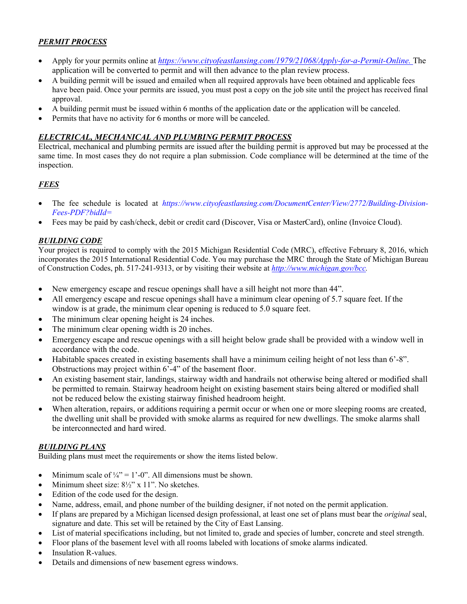## *PERMIT PROCESS*

- Apply for your permits online at *[https://www.cityofeastlansing.com/1979/21068/Apply-for-a-Permit-Online.](https://gcc02.safelinks.protection.outlook.com/?url=https%3A%2F%2Fwww.cityofeastlansing.com%2F1979%2F21068%2FApply-for-a-Permit-Online&data=02%7C01%7Clyabs%40cityofeastlansing.com%7Cb9fe59df82de4643f38008d84e6d8f26%7C42c2237340d243c6b22f2c6f445fa115%7C0%7C0%7C637345579751519156&sdata=JYaSysmPHUZPke1N8AkQPIhf%2Bps%2FuXYwaY23UuMZrWo%3D&reserved=0)* The application will be converted to permit and will then advance to the plan review process.
- A building permit will be issued and emailed when all required approvals have been obtained and applicable fees have been paid. Once your permits are issued, you must post a copy on the job site until the project has received final approval.
- A building permit must be issued within 6 months of the application date or the application will be canceled.
- Permits that have no activity for 6 months or more will be canceled.

## *ELECTRICAL, MECHANICAL AND PLUMBING PERMIT PROCESS*

Electrical, mechanical and plumbing permits are issued after the building permit is approved but may be processed at the same time. In most cases they do not require a plan submission. Code compliance will be determined at the time of the inspection.

## *FEES*

- The fee schedule is located at *https://www.cityofeastlansing.com/DocumentCenter/View/2772/Building-Division-Fees-PDF?bidId=*
- Fees may be paid by cash/check, debit or credit card (Discover, Visa or MasterCard), online (Invoice Cloud).

## *BUILDING CODE*

Your project is required to comply with the 2015 Michigan Residential Code (MRC), effective February 8, 2016, which incorporates the 2015 International Residential Code. You may purchase the MRC through the State of Michigan Bureau of Construction Codes, ph. 517-241-9313, or by visiting their website at *[http://www.michigan.gov/bcc.](http://www.michigan.gov/bcc)* 

- New emergency escape and rescue openings shall have a sill height not more than 44".
- All emergency escape and rescue openings shall have a minimum clear opening of 5.7 square feet. If the window is at grade, the minimum clear opening is reduced to 5.0 square feet.
- The minimum clear opening height is 24 inches.
- The minimum clear opening width is 20 inches.
- Emergency escape and rescue openings with a sill height below grade shall be provided with a window well in accordance with the code.
- Habitable spaces created in existing basements shall have a minimum ceiling height of not less than 6'-8". Obstructions may project within 6'-4" of the basement floor.
- An existing basement stair, landings, stairway width and handrails not otherwise being altered or modified shall be permitted to remain. Stairway headroom height on existing basement stairs being altered or modified shall not be reduced below the existing stairway finished headroom height.
- When alteration, repairs, or additions requiring a permit occur or when one or more sleeping rooms are created, the dwelling unit shall be provided with smoke alarms as required for new dwellings. The smoke alarms shall be interconnected and hard wired.

## *BUILDING PLANS*

Building plans must meet the requirements or show the items listed below.

- Minimum scale of  $\frac{1}{4}$ " = 1'-0". All dimensions must be shown.
- Minimum sheet size:  $8\frac{1}{2}$ " x 11". No sketches.
- Edition of the code used for the design.
- Name, address, email, and phone number of the building designer, if not noted on the permit application.
- If plans are prepared by a Michigan licensed design professional, at least one set of plans must bear the *original* seal, signature and date. This set will be retained by the City of East Lansing.
- List of material specifications including, but not limited to, grade and species of lumber, concrete and steel strength.
- Floor plans of the basement level with all rooms labeled with locations of smoke alarms indicated.
- Insulation R-values.
- Details and dimensions of new basement egress windows.